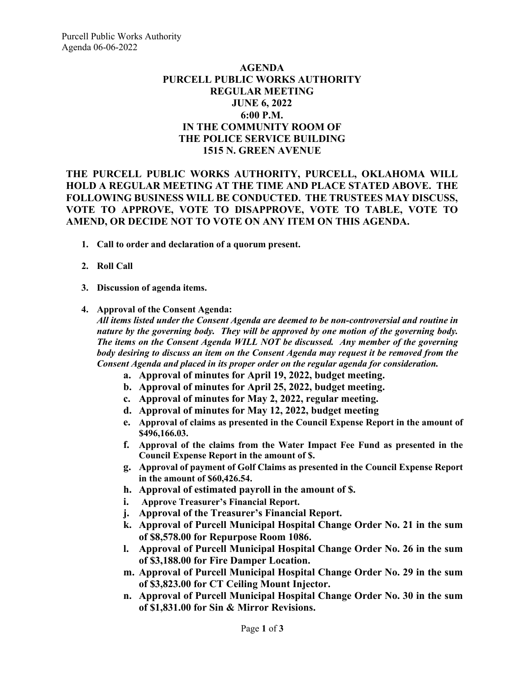## **AGENDA PURCELL PUBLIC WORKS AUTHORITY REGULAR MEETING JUNE 6, 2022 6:00 P.M. IN THE COMMUNITY ROOM OF THE POLICE SERVICE BUILDING 1515 N. GREEN AVENUE**

## **THE PURCELL PUBLIC WORKS AUTHORITY, PURCELL, OKLAHOMA WILL HOLD A REGULAR MEETING AT THE TIME AND PLACE STATED ABOVE. THE FOLLOWING BUSINESS WILL BE CONDUCTED. THE TRUSTEES MAY DISCUSS, VOTE TO APPROVE, VOTE TO DISAPPROVE, VOTE TO TABLE, VOTE TO AMEND, OR DECIDE NOT TO VOTE ON ANY ITEM ON THIS AGENDA.**

- **1. Call to order and declaration of a quorum present.**
- **2. Roll Call**
- **3. Discussion of agenda items.**
- **4. Approval of the Consent Agenda:** *All items listed under the Consent Agenda are deemed to be non-controversial and routine in nature by the governing body. They will be approved by one motion of the governing body. The items on the Consent Agenda WILL NOT be discussed. Any member of the governing body desiring to discuss an item on the Consent Agenda may request it be removed from the Consent Agenda and placed in its proper order on the regular agenda for consideration.*
	- **a. Approval of minutes for April 19, 2022, budget meeting.**
	- **b. Approval of minutes for April 25, 2022, budget meeting.**
	- **c. Approval of minutes for May 2, 2022, regular meeting.**
	- **d. Approval of minutes for May 12, 2022, budget meeting**
	- **e. Approval of claims as presented in the Council Expense Report in the amount of \$496,166.03.**
	- **f. Approval of the claims from the Water Impact Fee Fund as presented in the Council Expense Report in the amount of \$.**
	- **g. Approval of payment of Golf Claims as presented in the Council Expense Report in the amount of \$60,426.54.**
	- **h. Approval of estimated payroll in the amount of \$.**
	- **i. Approve Treasurer's Financial Report.**
	- **j. Approval of the Treasurer's Financial Report.**
	- **k. Approval of Purcell Municipal Hospital Change Order No. 21 in the sum of \$8,578.00 for Repurpose Room 1086.**
	- **l. Approval of Purcell Municipal Hospital Change Order No. 26 in the sum of \$3,188.00 for Fire Damper Location.**
	- **m. Approval of Purcell Municipal Hospital Change Order No. 29 in the sum of \$3,823.00 for CT Ceiling Mount Injector.**
	- **n. Approval of Purcell Municipal Hospital Change Order No. 30 in the sum of \$1,831.00 for Sin & Mirror Revisions.**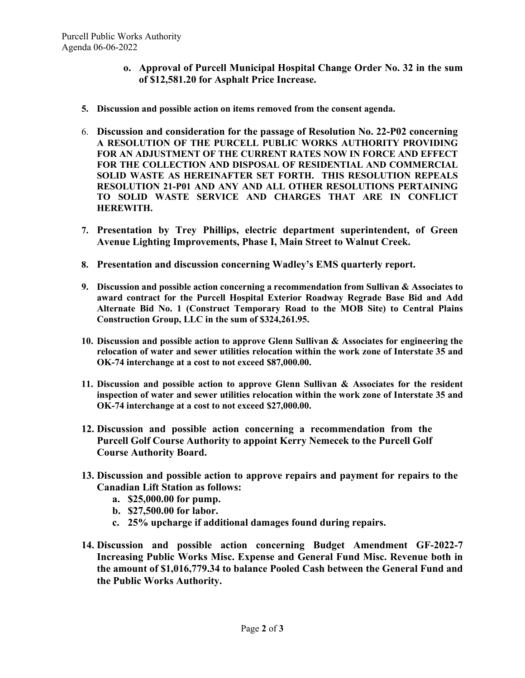- **o. Approval of Purcell Municipal Hospital Change Order No. 32 in the sum of \$12,581.20 for Asphalt Price Increase.**
- **5. Discussion and possible action on items removed from the consent agenda.**
- 6. **Discussion and consideration for the passage of Resolution No. 22-P02 concerning A RESOLUTION OF THE PURCELL PUBLIC WORKS AUTHORITY PROVIDING FOR AN ADJUSTMENT OF THE CURRENT RATES NOW IN FORCE AND EFFECT FOR THE COLLECTION AND DISPOSAL OF RESIDENTIAL AND COMMERCIAL SOLID WASTE AS HEREINAFTER SET FORTH. THIS RESOLUTION REPEALS RESOLUTION 21-P01 AND ANY AND ALL OTHER RESOLUTIONS PERTAINING TO SOLID WASTE SERVICE AND CHARGES THAT ARE IN CONFLICT HEREWITH.**
- **7. Presentation by Trey Phillips, electric department superintendent, of Green Avenue Lighting Improvements, Phase I, Main Street to Walnut Creek.**
- **8. Presentation and discussion concerning Wadley's EMS quarterly report.**
- **9. Discussion and possible action concerning a recommendation from Sullivan & Associates to award contract for the Purcell Hospital Exterior Roadway Regrade Base Bid and Add Alternate Bid No. 1 (Construct Temporary Road to the MOB Site) to Central Plains Construction Group, LLC in the sum of \$324,261.95.**
- **10. Discussion and possible action to approve Glenn Sullivan & Associates for engineering the relocation of water and sewer utilities relocation within the work zone of Interstate 35 and OK-74 interchange at a cost to not exceed \$87,000.00.**
- **11. Discussion and possible action to approve Glenn Sullivan & Associates for the resident inspection of water and sewer utilities relocation within the work zone of Interstate 35 and OK-74 interchange at a cost to not exceed \$27,000.00.**
- **12. Discussion and possible action concerning a recommendation from the Purcell Golf Course Authority to appoint Kerry Nemecek to the Purcell Golf Course Authority Board.**
- **13. Discussion and possible action to approve repairs and payment for repairs to the Canadian Lift Station as follows:**
	- **a. \$25,000.00 for pump.**
	- **b. \$27,500.00 for labor.**
	- **c. 25% upcharge if additional damages found during repairs.**
- **14. Discussion and possible action concerning Budget Amendment GF-2022-7 Increasing Public Works Misc. Expense and General Fund Misc. Revenue both in the amount of \$1,016,779.34 to balance Pooled Cash between the General Fund and the Public Works Authority.**